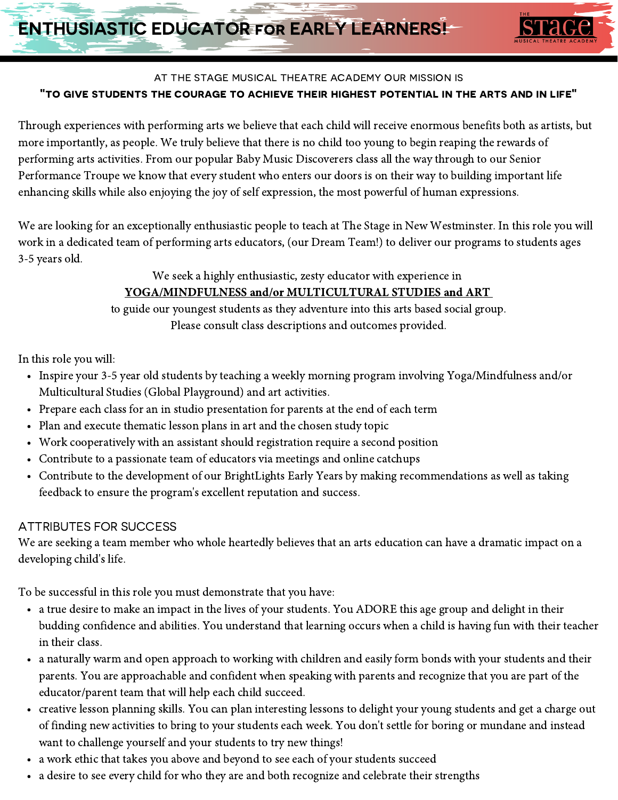

## at the stage musical theatre academy our mission is "to give students the courage to achieve their highest potential in the arts and in life"

Through experiences with performing arts we believe that each child will receive enormous benefits both as artists, but more importantly, as people. We truly believe that there is no child too young to begin reaping the rewards of performing arts activities. From our popular Baby Music Discoverers class all the way through to our Senior Performance Troupe we know that every student who enters our doors is on their way to building important life enhancing skills while also enjoying the joy of self expression, the most powerful of human expressions.

We are looking for an exceptionally enthusiastic people to teach at The Stage in New Westminster. In this role you will work in a dedicated team of performing arts educators, (our Dream Team!) to deliver our programs to students ages 3-5 years old.

#### We seek a highly enthusiastic, zesty educator with experience in

# YOGA/MINDFULNESS and/or MULTICULTURAL STUDIES and ART

to guide our youngest students as they adventure into this arts based social group. Please consult class descriptions and outcomes provided.

In this role you will:

- Inspire your 3-5 year old students by teaching a weekly morning program involving Yoga/Mindfulness and/or Multicultural Studies (Global Playground) and art activities.
- Prepare each class for an in studio presentation for parents at the end of each term
- Plan and execute thematic lesson plans in art and the chosen study topic
- Work cooperatively with an assistant should registration require a second position
- Contribute to a passionate team of educators via meetings and online catchups
- Contribute to the development of our BrightLights Early Years by making recommendations as well as taking feedback to ensure the program's excellent reputation and success.

## ATTRIBUTES FOR SUCCESS

We are seeking a team member who whole heartedly believes that an arts education can have a dramatic impact on a developing child's life.

To be successful in this role you must demonstrate that you have:

- a true desire to make an impact in the lives of your students. You ADORE this age group and delight in their budding confidence and abilities. You understand that learning occurs when a child is having fun with their teacher in their class.
- a naturally warm and open approach to working with children and easily form bonds with your students and their parents. You are approachable and confident when speaking with parents and recognize that you are part of the educator/parent team that will help each child succeed.
- creative lesson planning skills. You can plan interesting lessons to delight your young students and get a charge out of finding new activities to bring to your students each week. You don't settle for boring or mundane and instead want to challenge yourself and your students to try new things!
- a work ethic that takes you above and beyond to see each of your students succeed
- a desire to see every child for who they are and both recognize and celebrate their strengths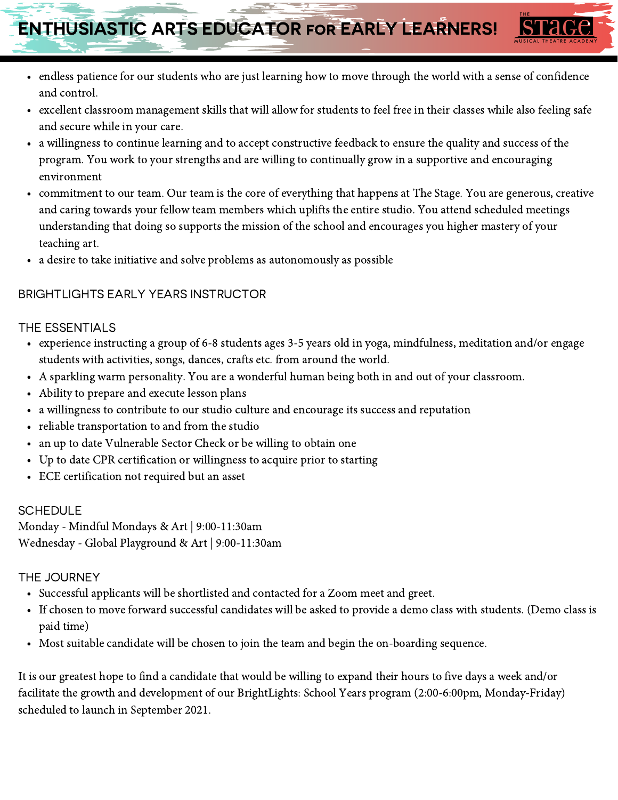# ENTHUSIASTIC ARTS EDUCATOR for EARLY LEARNERS!

- endless patience for our students who are just learning how to move through the world with a sense of confidence and control.
- excellent classroom management skills that will allow for students to feel free in their classes while also feeling safe and secure while in your care.
- a willingness to continue learning and to accept constructive feedback to ensure the quality and success of the program. You work to your strengths and are willing to continually grow in a supportive and encouraging environment
- commitment to our team. Our team is the core of everything that happens at The Stage. You are generous, creative and caring towards your fellow team members which uplifts the entire studio. You attend scheduled meetings understanding that doing so supports the mission of the school and encourages you higher mastery of your teaching art.
- a desire to take initiative and solve problems as autonomously as possible

# BRIGHTLIGHTS EARLY YEARS INSTRUCTOR

#### THE ESSENTIALS

- experience instructing a group of 6-8 students ages 3-5 years old in yoga, mindfulness, meditation and/or engage students with activities, songs, dances, crafts etc. from around the world.
- A sparkling warm personality. You are a wonderful human being both in and out of your classroom.
- Ability to prepare and execute lesson plans
- a willingness to contribute to our studio culture and encourage its success and reputation
- reliable transportation to and from the studio
- an up to date Vulnerable Sector Check or be willing to obtain one  $\bullet$
- Up to date CPR certification or willingness to acquire prior to starting
- ECE certification not required but an asset

#### **SCHEDULE**

Monday - Mindful Mondays & Art | 9:00-11:30am Wednesday - Global Playground & Art | 9:00-11:30am

#### THE JOURNEY

- Successful applicants will be shortlisted and contacted for a Zoom meet and greet.
- If chosen to move forward successful candidates will be asked to provide a demo class with students. (Demo class is paid time)
- Most suitable candidate will be chosen to join the team and begin the on-boarding sequence.

It is our greatest hope to find a candidate that would be willing to expand their hours to five days a week and/or facilitate the growth and development of our BrightLights: School Years program (2:00-6:00pm, Monday-Friday) scheduled to launch in September 2021.